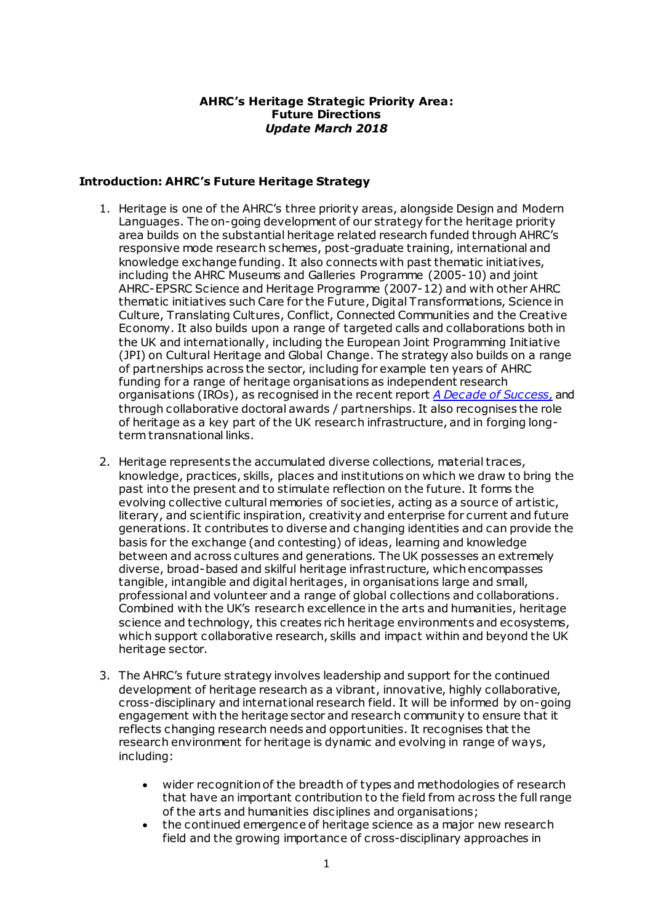### **AHRC's Heritage Strategic Priority Area: Future Directions**  *Update March 2018*

### **Introduction: AHRC's Future Heritage Strategy**

- 1. Heritage is one of the AHRC's three priority areas, alongside Design and Modern Languages. The on-going development of our strategy for the heritage priority area builds on the substantial heritage related research funded through AHRC's responsive mode research schemes, post-graduate training, international and knowledge exchange funding. It also connects with past thematic initiatives, including the AHRC Museums and Galleries Programme (2005-10) and joint AHRC-EPSRC Science and Heritage Programme (2007-12) and with other AHRC thematic initiatives such Care for the Future, Digital Transformations, Science in Culture, Translating Cultures, Conflict, Connected Communities and the Creative Economy. It also builds upon a range of targeted calls and collaborations both in the UK and internationally, including the European Joint Programming Initiative (JPI) on Cultural Heritage and Global Change. The strategy also builds on a range of partnerships across the sector, including for example ten years of AHRC funding for a range of heritage organisations as independent research organisations (IROs), as recognised in the recent report *[A Decade of Success](http://www.ahrc.ac.uk/documents/project-reports-and-reviews/independent-research-organisation-report/),* and through collaborative doctoral awards / partnerships. It also recognises the role of heritage as a key part of the UK research infrastructure, and in forging longterm transnational links.
- 2. Heritage represents the accumulated diverse collections, material traces, knowledge, practices, skills, places and institutions on which we draw to bring the past into the present and to stimulate reflection on the future. It forms the evolving collective cultural memories of societies, acting as a source of artistic, literary, and scientific inspiration, creativity and enterprise for current and future generations. It contributes to diverse and changing identities and can provide the basis for the exchange (and contesting) of ideas, learning and knowledge between and across cultures and generations. The UK possesses an extremely diverse, broad-based and skilful heritage infrastructure, which encompasses tangible, intangible and digital heritages, in organisations large and small, professional and volunteer and a range of global collections and collaborations. Combined with the UK's research excellence in the arts and humanities, heritage science and technology, this creates rich heritage environments and ecosystems, which support collaborative research, skills and impact within and beyond the UK heritage sector.
- 3. The AHRC's future strategy involves leadership and support for the continued development of heritage research as a vibrant, innovative, highly collaborative, cross-disciplinary and international research field. It will be informed by on-going engagement with the heritage sector and research community to ensure that it reflects changing research needs and opportunities. It recognises that the research environment for heritage is dynamic and evolving in range of ways, including:
	- wider recognition of the breadth of types and methodologies of research that have an important contribution to the field from across the full range of the arts and humanities disciplines and organisations;
	- the continued emergence of heritage science as a major new research field and the growing importance of cross-disciplinary approaches in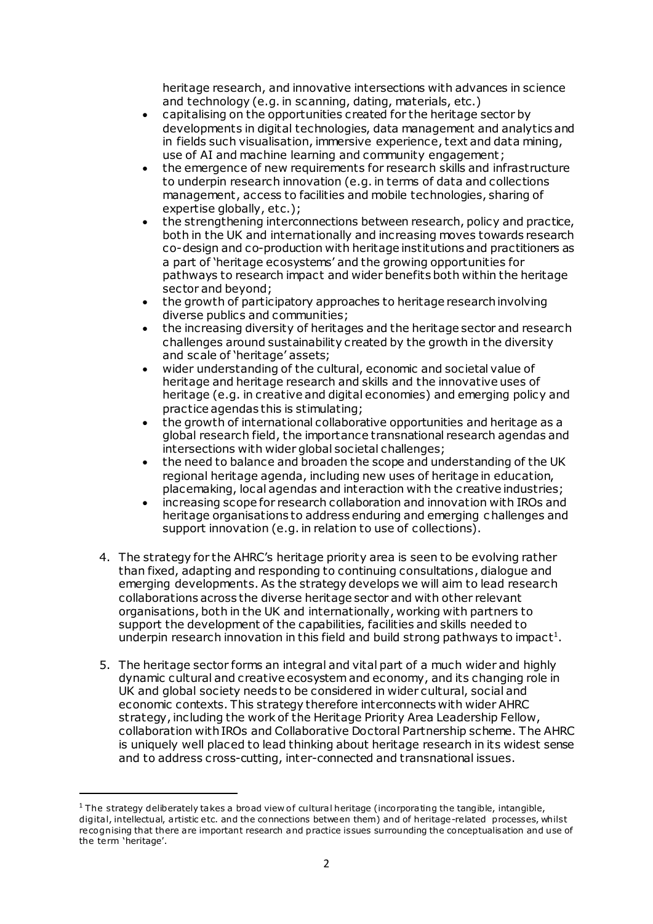heritage research, and innovative intersections with advances in science and technology (e.g. in scanning, dating, materials, etc.)

- capitalising on the opportunities created for the heritage sector by developments in digital technologies, data management and analytics and in fields such visualisation, immersive experience, text and data mining, use of AI and machine learning and community engagement;
- the emergence of new requirements for research skills and infrastructure to underpin research innovation (e.g. in terms of data and collections management, access to facilities and mobile technologies, sharing of expertise globally, etc.);
- the strengthening interconnections between research, policy and practice, both in the UK and internationally and increasing moves towards research co-design and co-production with heritage institutions and practitioners as a part of 'heritage ecosystems' and the growing opportunities for pathways to research impact and wider benefits both within the heritage sector and beyond;
- the growth of participatory approaches to heritage research involving diverse publics and communities;
- the increasing diversity of heritages and the heritage sector and research challenges around sustainability created by the growth in the diversity and scale of 'heritage' assets;
- wider understanding of the cultural, economic and societal value of heritage and heritage research and skills and the innovative uses of heritage (e.g. in creative and digital economies) and emerging policy and practice agendas this is stimulating;
- the growth of international collaborative opportunities and heritage as a global research field, the importance transnational research agendas and intersections with wider global societal challenges;
- the need to balance and broaden the scope and understanding of the UK regional heritage agenda, including new uses of heritage in education, placemaking, local agendas and interaction with the creative industries;
- increasing scope for research collaboration and innovation with IROs and heritage organisations to address enduring and emerging c hallenges and support innovation (e.g. in relation to use of collections).
- 4. The strategy for the AHRC's heritage priority area is seen to be evolving rather than fixed, adapting and responding to continuing consultations, dialogue and emerging developments. As the strategy develops we will aim to lead research collaborations across the diverse heritage sector and with other relevant organisations, both in the UK and internationally, working with partners to support the development of the capabilities, facilities and skills needed to underpin research innovation in this field and build strong pathways to impact<sup>1</sup>.
- 5. The heritage sector forms an integral and vital part of a much wider and highly dynamic cultural and creative ecosystem and economy, and its changing role in UK and global society needs to be considered in wider cultural, social and economic contexts. This strategy therefore interconnects with wider AHRC strategy, including the work of the Heritage Priority Area Leadership Fellow, collaboration with IROs and Collaborative Doctoral Partnership scheme. The AHRC is uniquely well placed to lead thinking about heritage research in its widest sense and to address cross-cutting, inter-connected and transnational issues.

 $\overline{a}$ 

<sup>&</sup>lt;sup>1</sup> The strategy deliberately takes a broad view of cultural heritage (incorporating the tangible, intangible, digital, intellectual, artistic etc. and the connections between them) and of heritage-related processes, whilst recognising that there are important research and practice issues surrounding the conceptualisation and use of the term 'heritage'.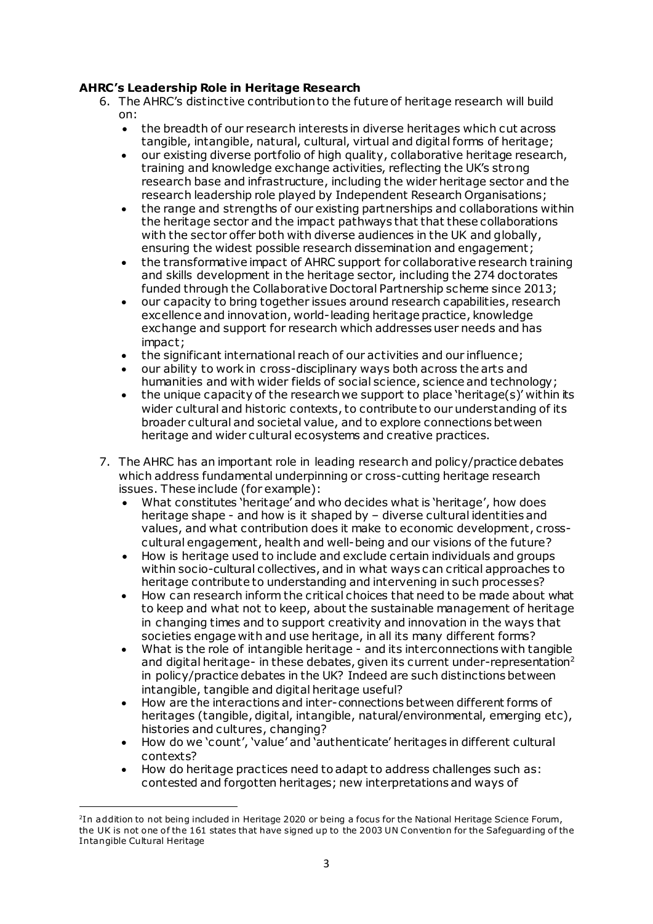# **AHRC's Leadership Role in Heritage Research**

- 6. The AHRC's distinctive contribution to the future of heritage research will build on:
	- the breadth of our research interests in diverse heritages which cut across tangible, intangible, natural, cultural, virtual and digital forms of heritage;
	- our existing diverse portfolio of high quality, collaborative heritage research, training and knowledge exchange activities, reflecting the UK's strong research base and infrastructure, including the wider heritage sector and the research leadership role played by Independent Research Organisations;
	- the range and strengths of our existing partnerships and collaborations within the heritage sector and the impact pathways that that these collaborations with the sector offer both with diverse audiences in the UK and globally, ensuring the widest possible research dissemination and engagement;
	- the transformative impact of AHRC support for collaborative research training and skills development in the heritage sector, including the 274 doctorates funded through the Collaborative Doctoral Partnership scheme since 2013;
	- our capacity to bring together issues around research capabilities, research excellence and innovation, world-leading heritage practice, knowledge exchange and support for research which addresses user needs and has impact;
	- the significant international reach of our activities and our influence;
	- our ability to work in cross-disciplinary ways both across the arts and humanities and with wider fields of social science, science and technology;
	- the unique capacity of the research we support to place 'heritage(s)' within its wider cultural and historic contexts, to contribute to our understanding of its broader cultural and societal value, and to explore connections between heritage and wider cultural ecosystems and creative practices.
- 7. The AHRC has an important role in leading research and policy/practice debates which address fundamental underpinning or cross-cutting heritage research issues. These include (for example):
	- What constitutes 'heritage' and who decides what is 'heritage', how does heritage shape - and how is it shaped by – diverse cultural identities and values, and what contribution does it make to economic development, crosscultural engagement, health and well-being and our visions of the future?
	- How is heritage used to include and exclude certain individuals and groups within socio-cultural collectives, and in what ways can critical approaches to heritage contribute to understanding and intervening in such processes?
	- How can research inform the critical choices that need to be made about what to keep and what not to keep, about the sustainable management of heritage in changing times and to support creativity and innovation in the ways that societies engage with and use heritage, in all its many different forms?
	- What is the role of intangible heritage and its interconnections with tangible and digital heritage- in these debates, given its current under-representation<sup>2</sup> in policy/practice debates in the UK? Indeed are such distinctions between intangible, tangible and digital heritage useful?
	- How are the interactions and inter-connections between different forms of heritages (tangible, digital, intangible, natural/environmental, emerging etc), histories and cultures, changing?
	- How do we 'count', 'value' and 'authenticate' heritages in different cultural contexts?
	- How do heritage practices need to adapt to address challenges such as: contested and forgotten heritages; new interpretations and ways of

1

<sup>2</sup> In addition to not being included in Heritage 2020 or being a focus for the National Heritage Science Forum, the UK is not one of the 161 states that have signed up to the 2003 UN Convention for the Safeguarding of the Intangible Cultural Heritage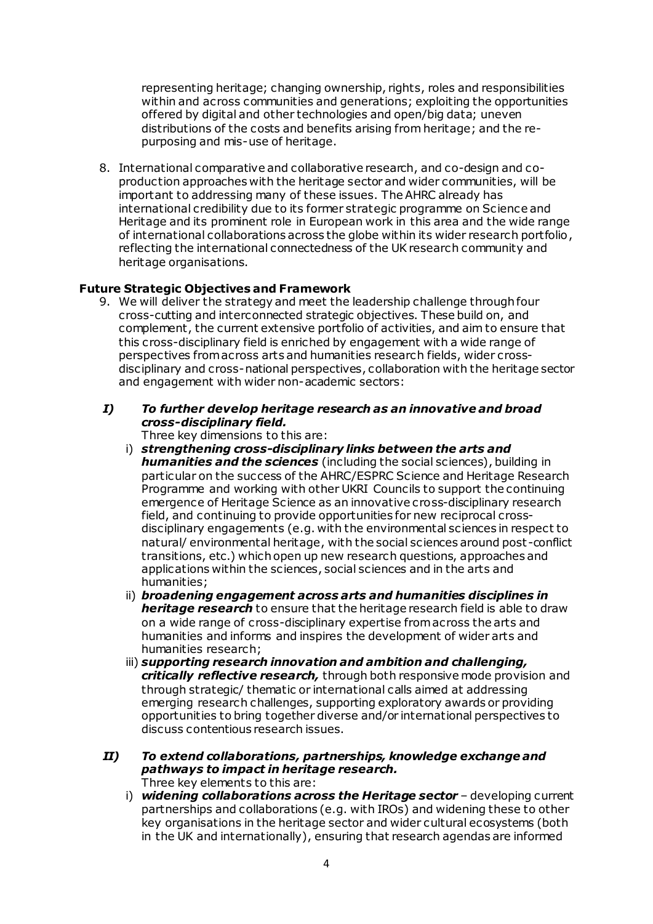representing heritage; changing ownership, rights, roles and responsibilities within and across communities and generations; exploiting the opportunities offered by digital and other technologies and open/big data; uneven distributions of the costs and benefits arising from heritage; and the repurposing and mis-use of heritage.

8. International comparative and collaborative research, and co-design and coproduction approaches with the heritage sector and wider communities, will be important to addressing many of these issues. The AHRC already has international credibility due to its former strategic programme on Science and Heritage and its prominent role in European work in this area and the wide range of international collaborations across the globe within its wider research portfolio , reflecting the international connectedness of the UK research community and heritage organisations.

### **Future Strategic Objectives and Framework**

9. We will deliver the strategy and meet the leadership challenge through four cross-cutting and interconnected strategic objectives. These build on, and complement, the current extensive portfolio of activities, and aim to ensure that this cross-disciplinary field is enriched by engagement with a wide range of perspectives from across arts and humanities research fields, wider crossdisciplinary and cross-national perspectives, collaboration with the heritage sector and engagement with wider non-academic sectors:

## *I) To further develop heritage research as an innovative and broad cross-disciplinary field.*

Three key dimensions to this are:

- i) *strengthening cross-disciplinary links between the arts and humanities and the sciences* (including the social sciences), building in particular on the success of the AHRC/ESPRC Science and Heritage Research Programme and working with other UKRI Councils to support the continuing emergence of Heritage Science as an innovative cross-disciplinary research field, and continuing to provide opportunities for new reciprocal crossdisciplinary engagements (e.g. with the environmental sciences in respect to natural/ environmental heritage, with the social sciences around post-conflict transitions, etc.) which open up new research questions, approaches and applications within the sciences, social sciences and in the arts and humanities;
- ii) *broadening engagement across arts and humanities disciplines in heritage research* to ensure that the heritage research field is able to draw on a wide range of cross-disciplinary expertise from across the arts and humanities and informs and inspires the development of wider arts and humanities research;
- iii) *supporting research innovation and ambition and challenging, critically reflective research,* through both responsive mode provision and through strategic/ thematic or international calls aimed at addressing emerging research challenges, supporting exploratory awards or providing opportunities to bring together diverse and/or international perspectives to discuss contentious research issues.
- *II) To extend collaborations, partnerships, knowledge exchange and pathways to impact in heritage research.*  Three key elements to this are:
	- i) *widening collaborations across the Heritage sector* developing current partnerships and collaborations (e.g. with IROs) and widening these to other key organisations in the heritage sector and wider cultural ecosystems (both in the UK and internationally), ensuring that research agendas are informed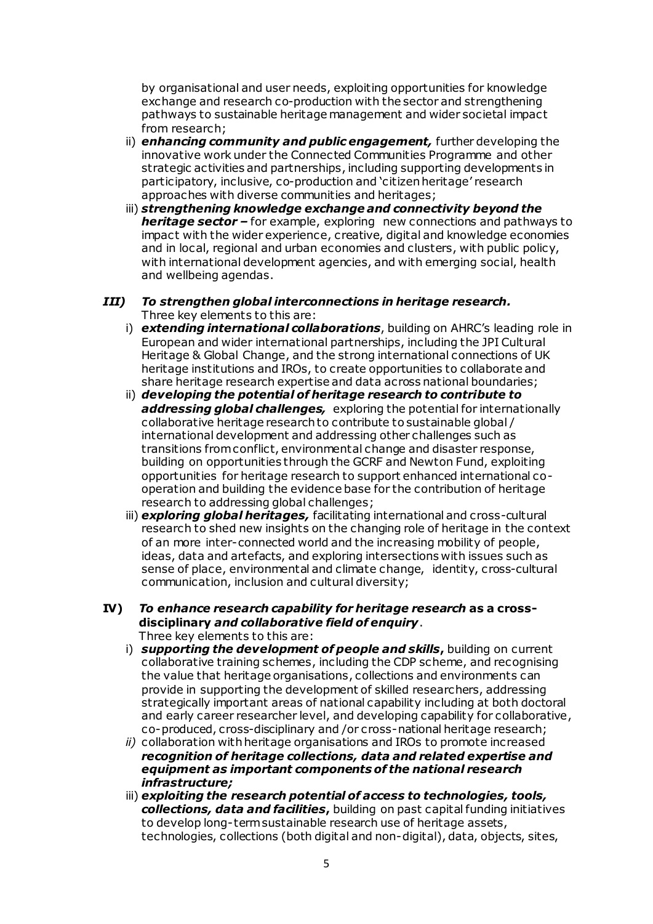by organisational and user needs, exploiting opportunities for knowledge exchange and research co-production with the sector and strengthening pathways to sustainable heritage management and wider societal impact from research;

- ii) *enhancing community and public engagement,* further developing the innovative work under the Connected Communities Programme and other strategic activities and partnerships, including supporting developments in participatory, inclusive, co-production and 'citizen heritage' research approaches with diverse communities and heritages;
- iii) *strengthening knowledge exchange and connectivity beyond the heritage sector –* for example, exploring new connections and pathways to impact with the wider experience, creative, digital and knowledge economies and in local, regional and urban economies and clusters, with public policy, with international development agencies, and with emerging social, health and wellbeing agendas.

### *III) To strengthen global interconnections in heritage research.*  Three key elements to this are:

- i) *extending international collaborations*, building on AHRC's leading role in European and wider international partnerships, including the JPI Cultural Heritage & Global Change, and the strong international connections of UK heritage institutions and IROs, to create opportunities to collaborate and share heritage research expertise and data across national boundaries;
- ii) *developing the potential of heritage research to contribute to addressing global challenges,* exploring the potential for internationally collaborative heritage research to contribute to sustainable global / international development and addressing other challenges such as transitions from conflict, environmental change and disaster response, building on opportunities through the GCRF and Newton Fund, exploiting opportunities for heritage research to support enhanced international cooperation and building the evidence base for the contribution of heritage research to addressing global challenges;
- iii) *exploring global heritages,* facilitating international and cross-cultural research to shed new insights on the changing role of heritage in the context of an more inter-connected world and the increasing mobility of people, ideas, data and artefacts, and exploring intersections with issues such as sense of place, environmental and climate change, identity, cross-cultural communication, inclusion and cultural diversity;

#### **IV)** *To enhance research capability for heritage research* **as a crossdisciplinary** *and collaborative field of enquiry*. Three key elements to this are:

- i) *supporting the development of people and skills***,** building on current collaborative training schemes, including the CDP scheme, and recognising the value that heritage organisations, collections and environments can provide in supporting the development of skilled researchers, addressing strategically important areas of national capability including at both doctoral and early career researcher level, and developing capability for collaborative, co-produced, cross-disciplinary and /or cross-national heritage research;
- *ii)* collaboration with heritage organisations and IROs to promote increased *recognition of heritage collections, data and related expertise and equipment as important components of the national research infrastructure;*
- iii) *exploiting the research potential of access to technologies, tools, collections, data and facilities***,** building on past capital funding initiatives to develop long-term sustainable research use of heritage assets, technologies, collections (both digital and non-digital), data, objects, sites,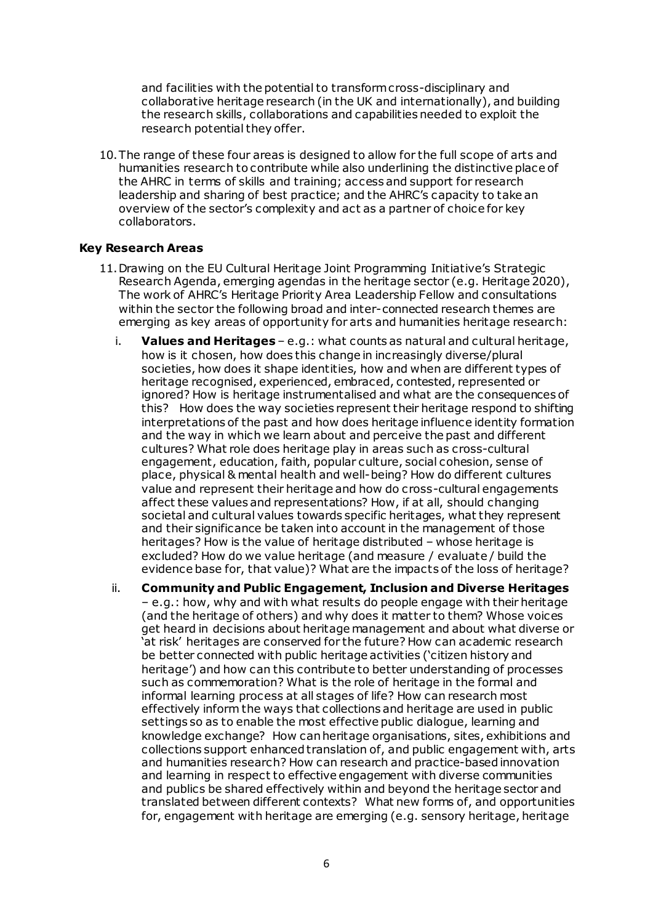and facilities with the potential to transform cross-disciplinary and collaborative heritage research (in the UK and internationally), and building the research skills, collaborations and capabilities needed to exploit the research potential they offer.

10.The range of these four areas is designed to allow for the full scope of arts and humanities research to contribute while also underlining the distinctive place of the AHRC in terms of skills and training; access and support for research leadership and sharing of best practice; and the AHRC's capacity to take an overview of the sector's complexity and act as a partner of choice for key collaborators.

### **Key Research Areas**

- 11.Drawing on the EU Cultural Heritage Joint Programming Initiative's Strategic Research Agenda, emerging agendas in the heritage sector (e.g. Heritage 2020), The work of AHRC's Heritage Priority Area Leadership Fellow and consultations within the sector the following broad and inter-connected research themes are emerging as key areas of opportunity for arts and humanities heritage research:
	- i. **Values and Heritages**  e.g.: what counts as natural and cultural heritage, how is it chosen, how does this change in increasingly diverse/plural societies, how does it shape identities, how and when are different types of heritage recognised, experienced, embraced, contested, represented or ignored? How is heritage instrumentalised and what are the consequences of this? How does the way societies represent their heritage respond to shifting interpretations of the past and how does heritage influence identity formation and the way in which we learn about and perceive the past and different cultures? What role does heritage play in areas such as cross-cultural engagement, education, faith, popular culture, social cohesion, sense of place, physical & mental health and well-being? How do different cultures value and represent their heritage and how do cross-cultural engagements affect these values and representations? How, if at all, should changing societal and cultural values towards specific heritages, what they represent and their significance be taken into account in the management of those heritages? How is the value of heritage distributed – whose heritage is excluded? How do we value heritage (and measure / evaluate / build the evidence base for, that value)? What are the impacts of the loss of heritage?
	- ii. **Community and Public Engagement, Inclusion and Diverse Heritages** – e.g.: how, why and with what results do people engage with their heritage (and the heritage of others) and why does it matter to them? Whose voices get heard in decisions about heritage management and about what diverse or 'at risk' heritages are conserved for the future? How can academic research be better connected with public heritage activities ('citizen history and heritage') and how can this contribute to better understanding of processes such as commemoration? What is the role of heritage in the formal and informal learning process at all stages of life? How can research most effectively inform the ways that collections and heritage are used in public settings so as to enable the most effective public dialogue, learning and knowledge exchange? How can heritage organisations, sites, exhibitions and collections support enhanced translation of, and public engagement with, arts and humanities research? How can research and practice-based innovation and learning in respect to effective engagement with diverse communities and publics be shared effectively within and beyond the heritage sector and translated between different contexts? What new forms of, and opportunities for, engagement with heritage are emerging (e.g. sensory heritage, heritage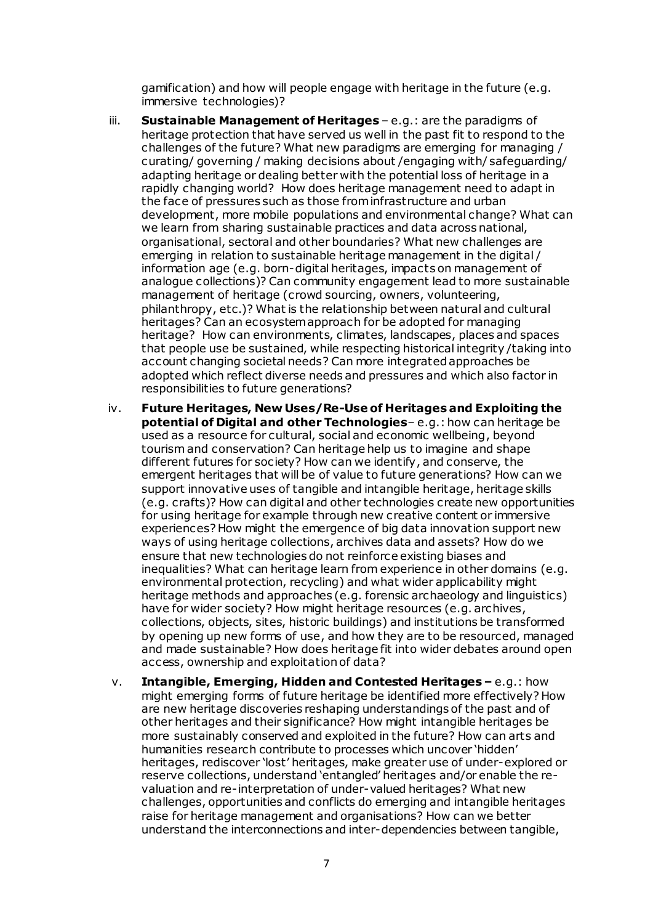gamification) and how will people engage with heritage in the future (e.g. immersive technologies)?

- iii. **Sustainable Management of Heritages** e.g.: are the paradigms of heritage protection that have served us well in the past fit to respond to the challenges of the future? What new paradigms are emerging for managing / curating/ governing / making decisions about /engaging with/ safeguarding/ adapting heritage or dealing better with the potential loss of heritage in a rapidly changing world? How does heritage management need to adapt in the face of pressures such as those from infrastructure and urban development, more mobile populations and environmental change? What can we learn from sharing sustainable practices and data across national, organisational, sectoral and other boundaries? What new challenges are emerging in relation to sustainable heritage management in the digital / information age (e.g. born-digital heritages, impacts on management of analogue collections)? Can community engagement lead to more sustainable management of heritage (crowd sourcing, owners, volunteering, philanthropy, etc.)? What is the relationship between natural and cultural heritages? Can an ecosystem approach for be adopted for managing heritage? How can environments, climates, landscapes, places and spaces that people use be sustained, while respecting historical integrity /taking into account changing societal needs? Can more integrated approaches be adopted which reflect diverse needs and pressures and which also factor in responsibilities to future generations?
- iv. **Future Heritages, New Uses/Re-Use of Heritages and Exploiting the potential of Digital and other Technologies**– e.g.: how can heritage be used as a resource for cultural, social and economic wellbeing, beyond tourism and conservation? Can heritage help us to imagine and shape different futures for society? How can we identify, and conserve, the emergent heritages that will be of value to future generations? How can we support innovative uses of tangible and intangible heritage, heritage skills (e.g. crafts)? How can digital and other technologies create new opportunities for using heritage for example through new creative content or immersive experiences? How might the emergence of big data innovation support new ways of using heritage collections, archives data and assets? How do we ensure that new technologies do not reinforce existing biases and inequalities? What can heritage learn from experience in other domains (e.g. environmental protection, recycling) and what wider applicability might heritage methods and approaches (e.g. forensic archaeology and linguistics) have for wider society? How might heritage resources (e.g. archives, collections, objects, sites, historic buildings) and institutions be transformed by opening up new forms of use, and how they are to be resourced, managed and made sustainable? How does heritage fit into wider debates around open access, ownership and exploitation of data?
- v. **Intangible, Emerging, Hidden and Contested Heritages –** e.g.: how might emerging forms of future heritage be identified more effectively? How are new heritage discoveries reshaping understandings of the past and of other heritages and their significance? How might intangible heritages be more sustainably conserved and exploited in the future? How can arts and humanities research contribute to processes which uncover 'hidden' heritages, rediscover 'lost' heritages, make greater use of under-explored or reserve collections, understand 'entangled' heritages and/or enable the revaluation and re-interpretation of under-valued heritages? What new challenges, opportunities and conflicts do emerging and intangible heritages raise for heritage management and organisations? How can we better understand the interconnections and inter-dependencies between tangible,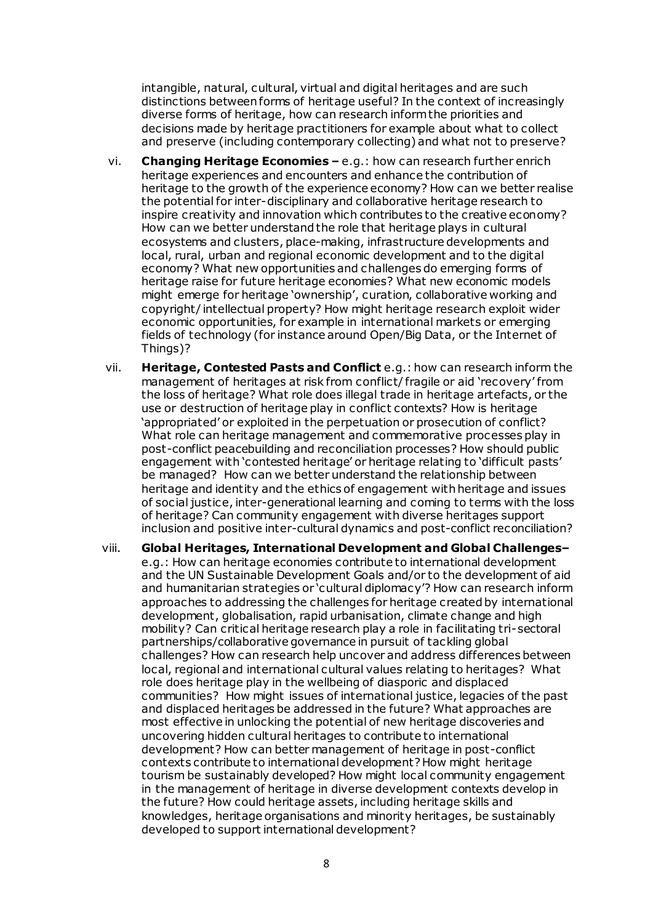intangible, natural, cultural, virtual and digital heritages and are such distinctions between forms of heritage useful? In the context of increasingly diverse forms of heritage, how can research inform the priorities and decisions made by heritage practitioners for example about what to collect and preserve (including contemporary collecting) and what not to preserve?

- vi. **Changing Heritage Economies –** e.g.: how can research further enrich heritage experiences and encounters and enhance the contribution of heritage to the growth of the experience economy? How can we better realise the potential for inter-disciplinary and collaborative heritage research to inspire creativity and innovation which contributes to the creative economy? How can we better understand the role that heritage plays in cultural ecosystems and clusters, place-making, infrastructure developments and local, rural, urban and regional economic development and to the digital economy? What new opportunities and challenges do emerging forms of heritage raise for future heritage economies? What new economic models might emerge for heritage 'ownership', curation, collaborative working and copyright/ intellectual property? How might heritage research exploit wider economic opportunities, for example in international markets or emerging fields of technology (for instance around Open/Big Data, or the Internet of Things)?
- vii. **Heritage, Contested Pasts and Conflict** e.g.: how can research inform the management of heritages at risk from conflict/ fragile or aid 'recovery' from the loss of heritage? What role does illegal trade in heritage artefacts, or the use or destruction of heritage play in conflict contexts? How is heritage 'appropriated' or exploited in the perpetuation or prosecution of conflict? What role can heritage management and commemorative processes play in post-conflict peacebuilding and reconciliation processes? How should public engagement with 'contested heritage' or heritage relating to 'difficult pasts' be managed? How can we better understand the relationship between heritage and identity and the ethics of engagement with heritage and issues of social justice, inter-generational learning and coming to terms with the loss of heritage? Can community engagement with diverse heritages support inclusion and positive inter-cultural dynamics and post-conflict reconciliation?
- viii. **Global Heritages, International Development and Global Challenges–** e.g.: How can heritage economies contribute to international development and the UN Sustainable Development Goals and/or to the development of aid and humanitarian strategies or 'cultural diplomacy'? How can research inform approaches to addressing the challenges for heritage created by international development, globalisation, rapid urbanisation, climate change and high mobility? Can critical heritage research play a role in facilitating tri-sectoral partnerships/collaborative governance in pursuit of tackling global challenges? How can research help uncover and address differences between local, regional and international cultural values relating to heritages? What role does heritage play in the wellbeing of diasporic and displaced communities? How might issues of international justice, legacies of the past and displaced heritages be addressed in the future? What approaches are most effective in unlocking the potential of new heritage discoveries and uncovering hidden cultural heritages to contribute to international development? How can better management of heritage in post-conflict contexts contribute to international development? How might heritage tourism be sustainably developed? How might local community engagement in the management of heritage in diverse development contexts develop in the future? How could heritage assets, including heritage skills and knowledges, heritage organisations and minority heritages, be sustainably developed to support international development?